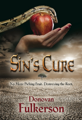### No More Picking Fruit. Destroying the Root.

Sin's Cune

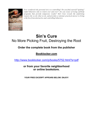

*Ever wondered why personal sin is so controlling? Do you find yourself "quitting" sinful behaviors only to return over and over? Are you weary of trying self-help programs that provide temporary results? Sin's Cure reveals the underlying reason why we do what we do, and provides a rational, practical answer to living a life free from destructive and controlling behaviors.*

# **Sin's Cure** No More Picking Fruit, Destroying the Root

### **Order the complete book from the publisher**

**Booklocker.com**

http://www.booklocker.com/p/books/5752.html?s=pdf

**or from your favorite neighborhood or online bookstore.** 

**YOUR FREE EXCERPT APPEARS BELOW. ENJOY!**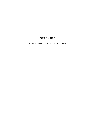## **SIN'S CURE**

NO MORE PICKING FRUIT, DESTROYING THE ROOT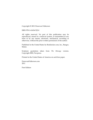Copyright © 2011 Donovan Fulkerson

ISBN 978-1-61434-522-0

All rights reserved. No part of this publication may be reproduced, stored in a retrieval system, or transmitted in any form or by any means, electronic, mechanical, recording or otherwise, without the prior written permission of the author.

Published in the United States by Booklocker.com, Inc., Bangor, Maine.

Scripture quotations taken from *The Message* version. Copyright 2002, Navpress.

Printed in the United States of America on acid-free paper.

DonovanFulkerson.com 2011

First Edition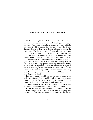#### **THE AUTHOR, PERSONAL PERSPECTIVE**

 On November 4, 2009 my father and best friend completed the human component of his life and simply passed away in his sleep. This would be routine enough except for the life he led prior to this moment. For almost 30 years he fought Crohn's disease, a destructive disease affecting primarily the colon part of the digestive system. On several occasions doctors did not give us much hope of his survival with the first occurring when I was in early grade school. But each time he would "miraculously" continue on. Most people he interacted with would never have guessed he was consistently sick and in pain. He was determined to eliminate selfish activity from his life. Although not always perfect and many times hampered by a "religious" background he kept his intentions strongly in favor of following Jesus' command to Love God and Love People. In the end, many said he was someone who was very close to walking as Jesus walked, yet he would have denied it knowing his own faults.

 For years he and I would discuss the topic of personal sin and its effects. We would analyze the devastating consequences and the "whys" to people's choices to allow sin's control in their lives. When some great leader would be "found out" for their discrepancies we would again ponder the strange attraction to sin and its nagging force in all of humanity.

 For myself, I have always struggled with perfection and the need for acceptance. So I did not know how to properly love others. As I look back over my life, it pains me the missed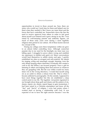#### *DONOVAN FULKERSON*

opportunities to invest in those around me. Sure, there are many who would say I took time for them and helped care for them when they needed it. But I know my inner heart and the forces that have controlled me. Somewhere down the line the need to receive approval from others in order to feel good about myself was fostered and it grew strong in my life. I was raised by well-meaning parents and authority figures, yet much of those early years were during a more legalistic religious time period in our culture. All of these factors skewed my concept of life.

 During my college years these temptations within me grew to an almost lethal controlling force. Although somewhat popular due to my need for the limelight, my inner man was falling apart. I struggled to prove others wrong and establish my supremacy in intellect and quick wit. Many conversations would lend themselves to selfish stories and gain. I quickly established my place as arrogant and self-centered. My talents for singing, acting and amazingly enough, listening, were the only things keeping others interested. Eventually this created a void in my life (When I am focused properly I have a gift for listening to others and helping them find answers to whatever they are grappling with. But the war within would too many times win in the wrong direction.). I would find myself using sin as an outlet to obtain a release from life. That is where I became addicted to pornography. On the outside, I appeared to have most things together but this sin established a deep control point in my life. The legalistic viewpoints ingrained in me brought about deep guilt and shame and the pattern of sin, shame, repent, sin, shame, repent began to gain momentum. I had been raised in a Christian atmosphere and knew all the "dos" and "don'ts" of religion. I even had points where I worked hard at having a relationship with God. It was expected of me to have the right answers because I was the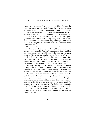leader of my Youth Alive program in High School, the Assistant Leader of my Youth Group, the first born of many grandchildren and then a Pastoral Ministries major in College. But there was still something missing and I found myself over and over again returning to the familiar sin that would entrap me day after day. This carried on for years and God's great goodness still allowed me to help many other's lives even though mine was still in such disarray, although I hope those individuals will grasp the contents of this book like I have and truly be set free.

 My dad and I discussed these events on different occasions and with new revelation as we both sought to understand our place in this world. He "arrived" much sooner than I and laid the groundwork that would later help lead me to these answers. He would eventually master the talent of servant hood and assist many through his teaching, counseling, leadership and love. We spoke of the things and past sin he would change if the chance presented itself and I was left in charge of eliminating those things for the next generation.

 The deep pain my sin has caused those around me and its disregard for the greatness of my God finally sent me on the journey to write this book. I went through a terribly dark season in life where I could not hear the voice of God whatsoever. This lasted for years and helped bring me to the end of myself. During this time I questioned all things holy. I never gave up on God but knew I did not want anything that was false anymore. I learned how to obey His ways because it was the right thing to do and not out of some need for acceptance or fear of consequences. This led to obeying out of a desire for having a relationship with Him and thus the need for Sinful behavior lessened. I never felt good enough for God yet wanted to be Godly so every time I would fail, sin was my coping mechanism.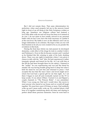#### *DONOVAN FULKERSON*

 But I did not remain there. That same determination for perfection, when used properly led me to the answers found right in front of me all along in the Holy Scriptures written so long ago. Somehow our religious culture had fostered a love/hate affair with sin and our focus has been on it instead of its cure. I do not claim to have totally arrived in my personal battle with sin but I now have the tools necessary to combat it at the root level. My battle is now on the offensive and I am no longer defenseless to its schemes. My hope is that you too will find freedom to be all you were created to be as you ponder the revelation in this book.

 During the final days before my dad passed, he developed dementia, a side effect of the drugs he took to combat Crohn's and Parkinson's. Even in this he became sweeter and I watched as he finished this life winning in spite of his body shutting down. There was one night in particular where I was given a chance to talk with the "real" him. He had experienced a rather traumatic episode and feared for his life. As I sat with him at the ER (he had been brought there for his safety), I listened to the "reality" he was experiencing and was just the friend he needed. He was having trouble going back to sleep but when I held his hand he was just fine and returned to peace. I had accepted the fact that the man I knew and loved might never return but God had a special gift for me that night. As I sat there I began to nod off and eventually turned on the TV to keep awake. It was about 2:30am. I turned it on and flipped a couple channels to "The Princess Bride". I was astonished. When I was young my Dad and I would show this movie to most anyone who stayed at our house and we would all laugh together. We must have seen it 30 times or more. Dad suddenly woke up and I mean really woke up. We watched about a half hour of it together reminiscing about old times and sharing in perfect detail those precious memories. Soon he went back to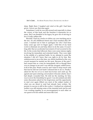sleep. Right there I laughed and cried at the gift I had been given. I never saw that man again.

 Sometimes I wish he was still around and especially to share the victory of this book and the freedom it represents for so many. But I am thankful to his legacy he gave me of striving to live a Godly selfless life.

 Recently I had my resolve to follow my own teaching put to the test. An old childhood friend and I had reunited after 20+ years. I reached out to him to apologize for who I had been many years ago and we began again. I told him of my hard work to eliminate sin and help others to do the same. It wasn't long after that an accelerated movement of God occurred in his life. In the events that followed, there were some intense nights involving his immediate and extended family. They were right in the middle of a spiritual battle. In my attempt to assist the situation I did all I knew that was right to do by him. But, unbeknownst to me at the time, my efforts backfired at the very crucial moment he needed me the most. Because of the pain I had caused him as a teen he immediately felt as though there was no change in me and I was still the arrogant, selfish knowit-all of the past. Weeks went by and I tried to keep touch with him but he told me God hadn't released him to do so. Finally I asked for the two of us to meet face-to-face and catch up. He agreed and upon entering conversation it became utterly clear I had deeply wounded him. He told me the meeting, for him, was to sever the friendship for good. I was devastated and after some discussion asked for his forgiveness and the opportunity to start over again (Mind you most of the subject matter of what you are about to read had already been written. My journey to success is still in the works.). I realized my relational toolbox was still missing some of the essential tools and he and I are working together as an encouragement to each other on our quest to be less selfish and more like God.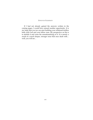#### *DONOVAN FULKERSON*

 If I had not already gained the answers written in the coming pages, I would have missed another opportunity. It is my hope that you too can start building your relational toolbox both with God and your fellow man. My perspective on Sin is to abolish it and cease the sensationalizing of it. It is merely a result of a much deeper, stronger issue that once dealt with… well, you will see…